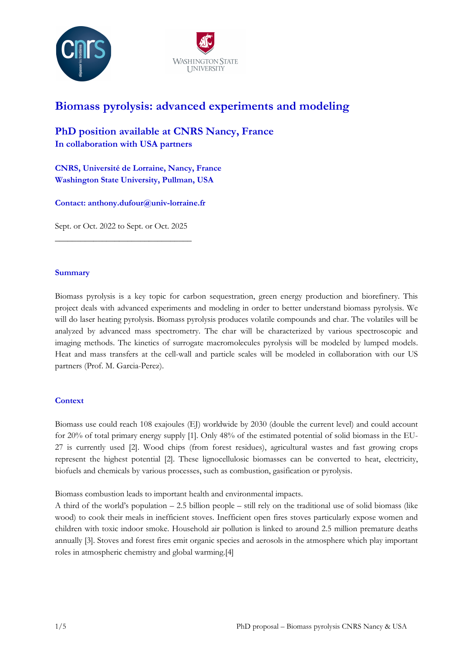



# Biomass pyrolysis: advanced experiments and modeling

PhD position available at CNRS Nancy, France In collaboration with USA partners

CNRS, Université de Lorraine, Nancy, France Washington State University, Pullman, USA

Contact: anthony.dufour@univ-lorraine.fr

Sept. or Oct. 2022 to Sept. or Oct. 2025 \_\_\_\_\_\_\_\_\_\_\_\_\_\_\_\_\_\_\_\_\_\_\_\_\_\_\_\_\_\_\_\_

# **Summary**

Biomass pyrolysis is a key topic for carbon sequestration, green energy production and biorefinery. This project deals with advanced experiments and modeling in order to better understand biomass pyrolysis. We will do laser heating pyrolysis. Biomass pyrolysis produces volatile compounds and char. The volatiles will be analyzed by advanced mass spectrometry. The char will be characterized by various spectroscopic and imaging methods. The kinetics of surrogate macromolecules pyrolysis will be modeled by lumped models. Heat and mass transfers at the cell-wall and particle scales will be modeled in collaboration with our US partners (Prof. M. Garcia-Perez).

# **Context**

Biomass use could reach 108 exajoules (EJ) worldwide by 2030 (double the current level) and could account for 20% of total primary energy supply [1]. Only 48% of the estimated potential of solid biomass in the EU-27 is currently used [2]. Wood chips (from forest residues), agricultural wastes and fast growing crops represent the highest potential [2]. These lignocellulosic biomasses can be converted to heat, electricity, biofuels and chemicals by various processes, such as combustion, gasification or pyrolysis.

Biomass combustion leads to important health and environmental impacts.

A third of the world's population – 2.5 billion people – still rely on the traditional use of solid biomass (like wood) to cook their meals in inefficient stoves. Inefficient open fires stoves particularly expose women and children with toxic indoor smoke. Household air pollution is linked to around 2.5 million premature deaths annually [3]. Stoves and forest fires emit organic species and aerosols in the atmosphere which play important roles in atmospheric chemistry and global warming.[4]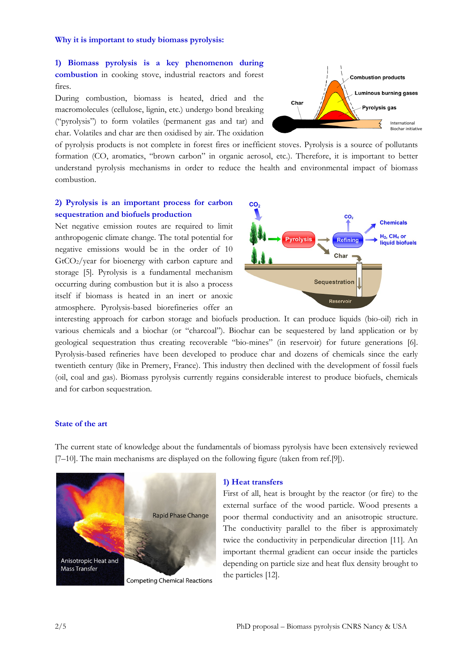#### Why it is important to study biomass pyrolysis:

1) Biomass pyrolysis is a key phenomenon during combustion in cooking stove, industrial reactors and forest fires.

During combustion, biomass is heated, dried and the macromolecules (cellulose, lignin, etc.) undergo bond breaking ("pyrolysis") to form volatiles (permanent gas and tar) and char. Volatiles and char are then oxidised by air. The oxidation



of pyrolysis products is not complete in forest fires or inefficient stoves. Pyrolysis is a source of pollutants formation (CO, aromatics, "brown carbon" in organic aerosol, etc.). Therefore, it is important to better understand pyrolysis mechanisms in order to reduce the health and environmental impact of biomass combustion.

# 2) Pyrolysis is an important process for carbon sequestration and biofuels production

Net negative emission routes are required to limit anthropogenic climate change. The total potential for negative emissions would be in the order of 10  $GtCO<sub>2</sub>/year$  for bioenergy with carbon capture and storage [5]. Pyrolysis is a fundamental mechanism occurring during combustion but it is also a process itself if biomass is heated in an inert or anoxic atmosphere. Pyrolysis-based biorefineries offer an



interesting approach for carbon storage and biofuels production. It can produce liquids (bio-oil) rich in various chemicals and a biochar (or "charcoal"). Biochar can be sequestered by land application or by geological sequestration thus creating recoverable "bio-mines" (in reservoir) for future generations [6]. Pyrolysis-based refineries have been developed to produce char and dozens of chemicals since the early twentieth century (like in Premery, France). This industry then declined with the development of fossil fuels (oil, coal and gas). Biomass pyrolysis currently regains considerable interest to produce biofuels, chemicals and for carbon sequestration.

# State of the art

The current state of knowledge about the fundamentals of biomass pyrolysis have been extensively reviewed [7–10]. The main mechanisms are displayed on the following figure (taken from ref.[9]).



#### 1) Heat transfers

First of all, heat is brought by the reactor (or fire) to the external surface of the wood particle. Wood presents a poor thermal conductivity and an anisotropic structure. The conductivity parallel to the fiber is approximately twice the conductivity in perpendicular direction [11]. An important thermal gradient can occur inside the particles depending on particle size and heat flux density brought to the particles [12].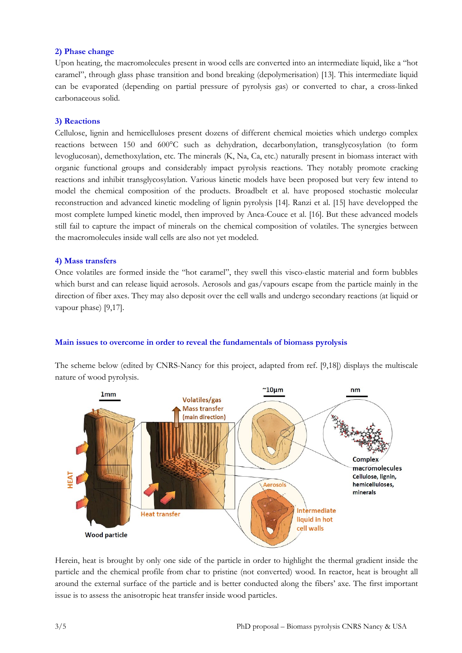### 2) Phase change

Upon heating, the macromolecules present in wood cells are converted into an intermediate liquid, like a "hot caramel", through glass phase transition and bond breaking (depolymerisation) [13]. This intermediate liquid can be evaporated (depending on partial pressure of pyrolysis gas) or converted to char, a cross-linked carbonaceous solid.

### 3) Reactions

Cellulose, lignin and hemicelluloses present dozens of different chemical moieties which undergo complex reactions between 150 and 600°C such as dehydration, decarbonylation, transglycosylation (to form levoglucosan), demethoxylation, etc. The minerals (K, Na, Ca, etc.) naturally present in biomass interact with organic functional groups and considerably impact pyrolysis reactions. They notably promote cracking reactions and inhibit transglycosylation. Various kinetic models have been proposed but very few intend to model the chemical composition of the products. Broadbelt et al. have proposed stochastic molecular reconstruction and advanced kinetic modeling of lignin pyrolysis [14]. Ranzi et al. [15] have developped the most complete lumped kinetic model, then improved by Anca-Couce et al. [16]. But these advanced models still fail to capture the impact of minerals on the chemical composition of volatiles. The synergies between the macromolecules inside wall cells are also not yet modeled.

### 4) Mass transfers

Once volatiles are formed inside the "hot caramel", they swell this visco-elastic material and form bubbles which burst and can release liquid aerosols. Aerosols and gas/vapours escape from the particle mainly in the direction of fiber axes. They may also deposit over the cell walls and undergo secondary reactions (at liquid or vapour phase) [9,17].

# Main issues to overcome in order to reveal the fundamentals of biomass pyrolysis

The scheme below (edited by CNRS-Nancy for this project, adapted from ref. [9,18]) displays the multiscale nature of wood pyrolysis.



Herein, heat is brought by only one side of the particle in order to highlight the thermal gradient inside the particle and the chemical profile from char to pristine (not converted) wood. In reactor, heat is brought all around the external surface of the particle and is better conducted along the fibers' axe. The first important issue is to assess the anisotropic heat transfer inside wood particles.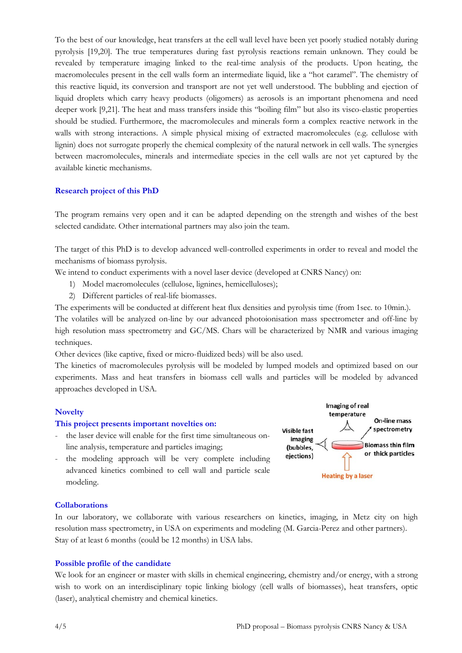To the best of our knowledge, heat transfers at the cell wall level have been yet poorly studied notably during pyrolysis [19,20]. The true temperatures during fast pyrolysis reactions remain unknown. They could be revealed by temperature imaging linked to the real-time analysis of the products. Upon heating, the macromolecules present in the cell walls form an intermediate liquid, like a "hot caramel". The chemistry of this reactive liquid, its conversion and transport are not yet well understood. The bubbling and ejection of liquid droplets which carry heavy products (oligomers) as aerosols is an important phenomena and need deeper work [9,21]. The heat and mass transfers inside this "boiling film" but also its visco-elastic properties should be studied. Furthermore, the macromolecules and minerals form a complex reactive network in the walls with strong interactions. A simple physical mixing of extracted macromolecules (e.g. cellulose with lignin) does not surrogate properly the chemical complexity of the natural network in cell walls. The synergies between macromolecules, minerals and intermediate species in the cell walls are not yet captured by the available kinetic mechanisms.

# Research project of this PhD

The program remains very open and it can be adapted depending on the strength and wishes of the best selected candidate. Other international partners may also join the team.

The target of this PhD is to develop advanced well-controlled experiments in order to reveal and model the mechanisms of biomass pyrolysis.

We intend to conduct experiments with a novel laser device (developed at CNRS Nancy) on:

- 1) Model macromolecules (cellulose, lignines, hemicelluloses);
- 2) Different particles of real-life biomasses.

The experiments will be conducted at different heat flux densities and pyrolysis time (from 1sec. to 10min.).

The volatiles will be analyzed on-line by our advanced photoionisation mass spectrometer and off-line by high resolution mass spectrometry and GC/MS. Chars will be characterized by NMR and various imaging techniques.

Other devices (like captive, fixed or micro-fluidized beds) will be also used.

The kinetics of macromolecules pyrolysis will be modeled by lumped models and optimized based on our experiments. Mass and heat transfers in biomass cell walls and particles will be modeled by advanced approaches developed in USA.

# **Novelty**

# This project presents important novelties on:

- the laser device will enable for the first time simultaneous online analysis, temperature and particles imaging;
- the modeling approach will be very complete including advanced kinetics combined to cell wall and particle scale modeling.



# **Collaborations**

In our laboratory, we collaborate with various researchers on kinetics, imaging, in Metz city on high resolution mass spectrometry, in USA on experiments and modeling (M. Garcia-Perez and other partners). Stay of at least 6 months (could be 12 months) in USA labs.

# Possible profile of the candidate

We look for an engineer or master with skills in chemical engineering, chemistry and/or energy, with a strong wish to work on an interdisciplinary topic linking biology (cell walls of biomasses), heat transfers, optic (laser), analytical chemistry and chemical kinetics.